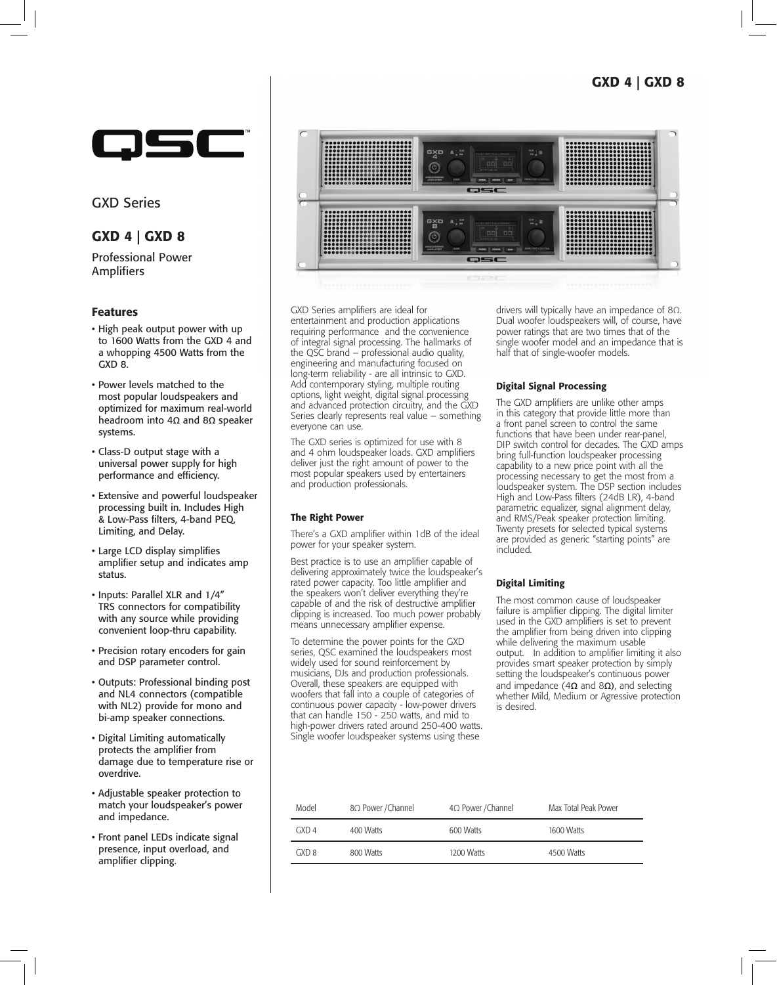# GXD 4 | GXD 8



GXD Series

# GXD 4 | GXD 8

Professional Power Amplifiers

## Features

- High peak output power with up to 1600 Watts from the GXD 4 and a whopping 4500 Watts from the GXD 8.
- Power levels matched to the most popular loudspeakers and optimized for maximum real-world headroom into 4**Ω** and 8**Ω** speaker systems.
- Class-D output stage with a universal power supply for high performance and efficiency.
- Extensive and powerful loudspeaker processing built in. Includes High & Low-Pass filters, 4-band PEQ, Limiting, and Delay.
- Large LCD display simplifies amplifier setup and indicates amp status.
- Inputs: Parallel XLR and 1/4" TRS connectors for compatibility with any source while providing convenient loop-thru capability.
- Precision rotary encoders for gain and DSP parameter control.
- Outputs: Professional binding post and NL4 connectors (compatible with NL2) provide for mono and bi-amp speaker connections.
- Digital Limiting automatically protects the amplifier from damage due to temperature rise or overdrive.
- Adjustable speaker protection to match your loudspeaker's power and impedance.
- Front panel LEDs indicate signal presence, input overload, and amplifier clipping.



GXD Series amplifiers are ideal for entertainment and production applications requiring performance and the convenience of integral signal processing. The hallmarks of the QSC brand – professional audio quality, engineering and manufacturing focused on long-term reliability - are all intrinsic to GXD. Add contemporary styling, multiple routing options, light weight, digital signal processing and advanced protection circuitry, and the GXD Series clearly represents real value – something everyone can use.

The GXD series is optimized for use with 8 and 4 ohm loudspeaker loads. GXD amplifiers deliver just the right amount of power to the most popular speakers used by entertainers and production professionals.

#### The Right Power

There's a GXD amplifier within 1dB of the ideal power for your speaker system.

Best practice is to use an amplifier capable of delivering approximately twice the loudspeaker's rated power capacity. Too little amplifier and the speakers won't deliver everything they're capable of and the risk of destructive amplifier clipping is increased. Too much power probably means unnecessary amplifier expense.

To determine the power points for the GXD series, QSC examined the loudspeakers most widely used for sound reinforcement by musicians, DJs and production professionals. Overall, these speakers are equipped with woofers that fall into a couple of categories of continuous power capacity - low-power drivers that can handle 150 - 250 watts, and mid to high-power drivers rated around 250-400 watts. Single woofer loudspeaker systems using these

drivers will typically have an impedance of 8Ω. Dual woofer loudspeakers will, of course, have power ratings that are two times that of the single woofer model and an impedance that is half that of single-woofer models.

## Digital Signal Processing

The GXD amplifiers are unlike other amps in this category that provide little more than a front panel screen to control the same functions that have been under rear-panel, DIP switch control for decades. The GXD amps bring full-function loudspeaker processing capability to a new price point with all the processing necessary to get the most from a loudspeaker system. The DSP section includes High and Low-Pass filters (24dB LR), 4-band parametric equalizer, signal alignment delay, and RMS/Peak speaker protection limiting. Twenty presets for selected typical systems are provided as generic "starting points" are included.

## Digital Limiting

The most common cause of loudspeaker failure is amplifier clipping. The digital limiter used in the GXD amplifiers is set to prevent the amplifier from being driven into clipping while delivering the maximum usable output. In addition to amplifier limiting it also provides smart speaker protection by simply setting the loudspeaker's continuous power and impedance (4**Ω** and 8**Ω)**, and selecting whether Mild, Medium or Agressive protection is desired.

| Model | 8Ω Power / Channel | $4\Omega$ Power / Channel | Max Total Peak Power |
|-------|--------------------|---------------------------|----------------------|
| GXDA  | 400 Watts          | 600 Watts                 | 1600 Watts           |
| GXD 8 | 800 Watts          | 1200 Watts                | 4500 Watts           |